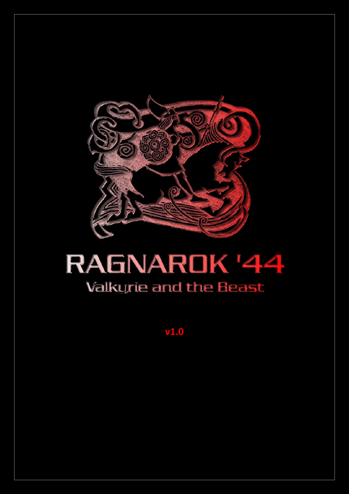

# RAGNARDK '44 **Valkurie and the Beast**

 $V<sub>1.0</sub>$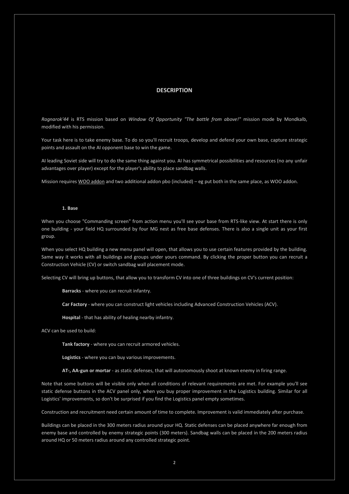## **DESCRIPTION**

*Ragnarok'44* is RTS mission based on *Window Of Opportunity "The battle from above!"* mission mode by Mondkalb, modified with his permission.

Your task here is to take enemy base. To do so you'll recruit troops, develop and defend your own base, capture strategic points and assault on the AI opponent base to win the game.

AI leading Soviet side will try to do the same thing against you. AI has symmetrical possibilities and resources (no any unfair advantages over player) except for the player's ability to place sandbag walls.

Mission requires [WOO addon](http://www.armaholic.com/page.php?id=14922) and two additional addon pbo (included) – eg put both in the same place, as WOO addon.

#### **1. Base**

When you choose "Commanding screen" from action menu you'll see your base from RTS-like view. At start there is only one building - your field HQ surrounded by four MG nest as free base defenses. There is also a single unit as your first group.

When you select HQ building a new menu panel will open, that allows you to use certain features provided by the building. Same way it works with all buildings and groups under yours command. By clicking the proper button you can recruit a Construction Vehicle (CV) or switch sandbag wall placement mode.

Selecting CV will bring up buttons, that allow you to transform CV into one of three buildings on CV's current position:

**Barracks** - where you can recruit infantry.

**Car Factory** - where you can construct light vehicles including Advanced Construction Vehicles (ACV).

**Hospital** - that has ability of healing nearby infantry.

ACV can be used to build:

**Tank factory** - where you can recruit armored vehicles.

**Logistics** - where you can buy various improvements.

**AT-, AA-gun or mortar** - as static defenses, that will autonomously shoot at known enemy in firing range.

Note that some buttons will be visible only when all conditions of relevant requirements are met. For example you'll see static defense buttons in the ACV panel only, when you buy proper improvement in the Logistics building. Similar for all Logistics' improvements, so don't be surprised if you find the Logistics panel empty sometimes.

Construction and recruitment need certain amount of time to complete. Improvement is valid immediately after purchase.

Buildings can be placed in the 300 meters radius around your HQ. Static defenses can be placed anywhere far enough from enemy base and controlled by enemy strategic points (300 meters). Sandbag walls can be placed in the 200 meters radius around HQ or 50 meters radius around any controlled strategic point.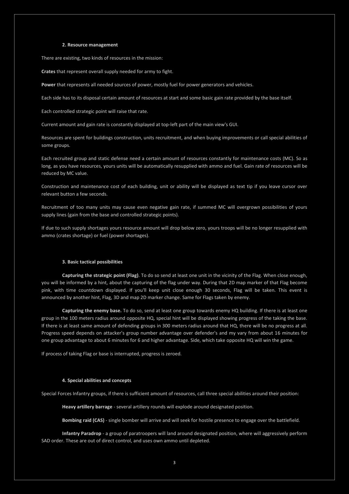#### **2. Resource management**

There are existing, two kinds of resources in the mission:

**Crates** that represent overall supply needed for army to fight.

**Power** that represents all needed sources of power, mostly fuel for power generators and vehicles.

Each side has to its disposal certain amount of resources at start and some basic gain rate provided by the base itself.

Each controlled strategic point will raise that rate.

Current amount and gain rate is constantly displayed at top-left part of the main view's GUI.

Resources are spent for buildings construction, units recruitment, and when buying improvements or call special abilities of some groups.

Each recruited group and static defense need a certain amount of resources constantly for maintenance costs (MC). So as long, as you have resources, yours units will be automatically resupplied with ammo and fuel. Gain rate of resources will be reduced by MC value.

Construction and maintenance cost of each building, unit or ability will be displayed as text tip if you leave cursor over relevant button a few seconds.

Recruitment of too many units may cause even negative gain rate, if summed MC will overgrown possibilities of yours supply lines (gain from the base and controlled strategic points).

If due to such supply shortages yours resource amount will drop below zero, yours troops will be no longer resupplied with ammo (crates shortage) or fuel (power shortages).

#### **3. Basic tactical possibilities**

**Capturing the strategic point (Flag)**. To do so send at least one unit in the vicinity of the Flag. When close enough, you will be informed by a hint, about the capturing of the flag under way. During that 2D map marker of that Flag become pink, with time countdown displayed. If you'll keep unit close enough 30 seconds, Flag will be taken. This event is announced by another hint, Flag, 3D and map 2D marker change. Same for Flags taken by enemy.

**Capturing the enemy base.** To do so, send at least one group towards enemy HQ building. If there is at least one group in the 100 meters radius around opposite HQ, special hint will be displayed showing progress of the taking the base. If there is at least same amount of defending groups in 300 meters radius around that HQ, there will be no progress at all. Progress speed depends on attacker's group number advantage over defender's and my vary from about 16 minutes for one group advantage to about 6 minutes for 6 and higher advantage. Side, which take opposite HQ will win the game.

If process of taking Flag or base is interrupted, progress is zeroed.

#### **4. Special abilities and concepts**

Special Forces Infantry groups, if there is sufficient amount of resources, call three special abilities around their position:

**Heavy artillery barrage** - several artillery rounds will explode around designated position.

**Bombing raid (CAS)** - single bomber will arrive and will seek for hostile presence to engage over the battlefield.

**Infantry Paradrop** - a group of paratroopers will land around designated position, where will aggressively perform SAD order. These are out of direct control, and uses own ammo until depleted.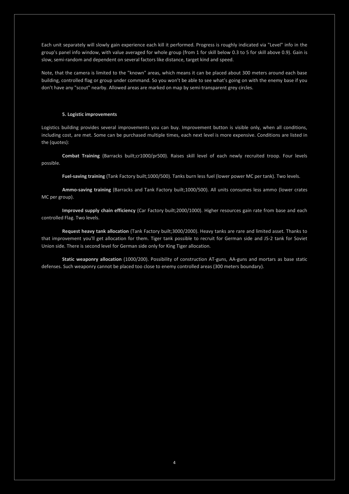Each unit separately will slowly gain experience each kill it performed. Progress is roughly indicated via "Level" info in the group's panel info window, with value averaged for whole group (from 1 for skill below 0.3 to 5 for skill above 0.9). Gain is slow, semi-random and dependent on several factors like distance, target kind and speed.

Note, that the camera is limited to the "known" areas, which means it can be placed about 300 meters around each base building, controlled flag or group under command. So you won't be able to see what's going on with the enemy base if you don't have any "scout" nearby. Allowed areas are marked on map by semi-transparent grey circles.

## **5. Logistic improvements**

Logistics building provides several improvements you can buy. Improvement button is visible only, when all conditions, including cost, are met. Some can be purchased multiple times, each next level is more expensive. Conditions are listed in the (quotes):

**Combat Training** (Barracks built;cr1000/pr500). Raises skill level of each newly recruited troop. Four levels possible.

**Fuel-saving training** (Tank Factory built;1000/500). Tanks burn less fuel (lower power MC per tank). Two levels.

**Ammo-saving training** (Barracks and Tank Factory built;1000/500). All units consumes less ammo (lower crates MC per group).

**Improved supply chain efficiency** (Car Factory built;2000/1000). Higher resources gain rate from base and each controlled Flag. Two levels.

**Request heavy tank allocation** (Tank Factory built;3000/2000). Heavy tanks are rare and limited asset. Thanks to that improvement you'll get allocation for them. Tiger tank possible to recruit for German side and JS-2 tank for Soviet Union side. There is second level for German side only for King Tiger allocation.

**Static weaponry allocation** (1000/200). Possibility of construction AT-guns, AA-guns and mortars as base static defenses. Such weaponry cannot be placed too close to enemy controlled areas (300 meters boundary).